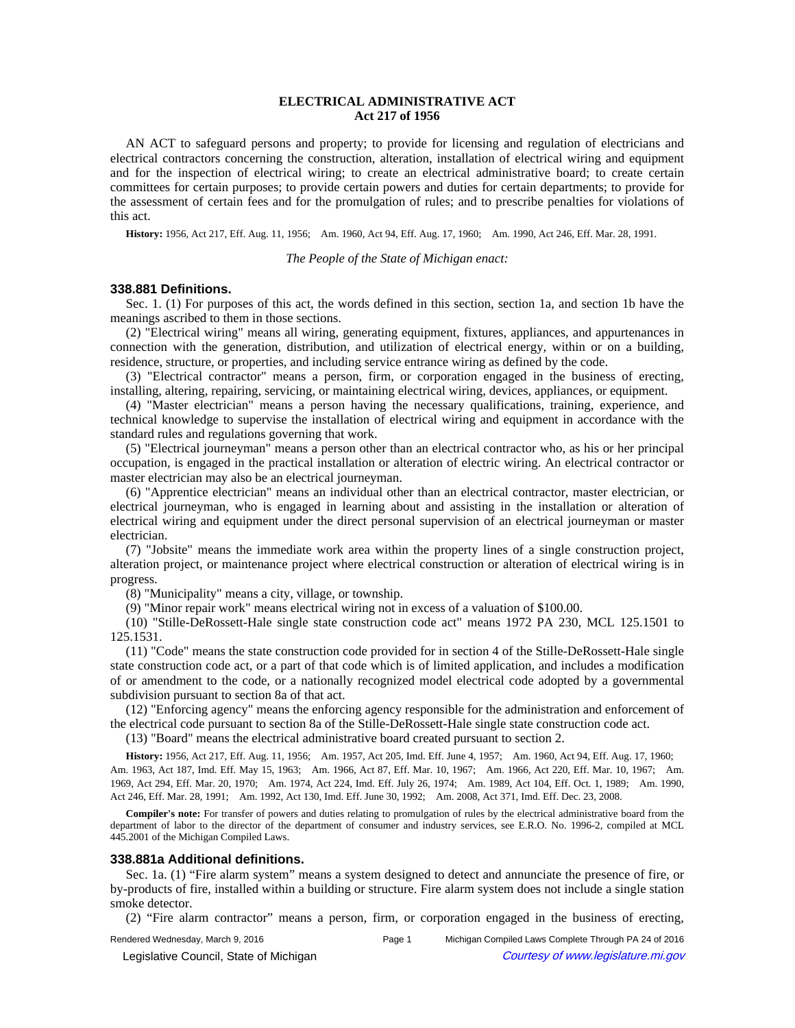# **ELECTRICAL ADMINISTRATIVE ACT Act 217 of 1956**

AN ACT to safeguard persons and property; to provide for licensing and regulation of electricians and electrical contractors concerning the construction, alteration, installation of electrical wiring and equipment and for the inspection of electrical wiring; to create an electrical administrative board; to create certain committees for certain purposes; to provide certain powers and duties for certain departments; to provide for the assessment of certain fees and for the promulgation of rules; and to prescribe penalties for violations of this act.

**History:** 1956, Act 217, Eff. Aug. 11, 1956;—Am. 1960, Act 94, Eff. Aug. 17, 1960;—Am. 1990, Act 246, Eff. Mar. 28, 1991.

*The People of the State of Michigan enact:*

## **338.881 Definitions.**

Sec. 1. (1) For purposes of this act, the words defined in this section, section 1a, and section 1b have the meanings ascribed to them in those sections.

(2) "Electrical wiring" means all wiring, generating equipment, fixtures, appliances, and appurtenances in connection with the generation, distribution, and utilization of electrical energy, within or on a building, residence, structure, or properties, and including service entrance wiring as defined by the code.

(3) "Electrical contractor" means a person, firm, or corporation engaged in the business of erecting, installing, altering, repairing, servicing, or maintaining electrical wiring, devices, appliances, or equipment.

(4) "Master electrician" means a person having the necessary qualifications, training, experience, and technical knowledge to supervise the installation of electrical wiring and equipment in accordance with the standard rules and regulations governing that work.

(5) "Electrical journeyman" means a person other than an electrical contractor who, as his or her principal occupation, is engaged in the practical installation or alteration of electric wiring. An electrical contractor or master electrician may also be an electrical journeyman.

(6) "Apprentice electrician" means an individual other than an electrical contractor, master electrician, or electrical journeyman, who is engaged in learning about and assisting in the installation or alteration of electrical wiring and equipment under the direct personal supervision of an electrical journeyman or master electrician.

(7) "Jobsite" means the immediate work area within the property lines of a single construction project, alteration project, or maintenance project where electrical construction or alteration of electrical wiring is in progress.

(8) "Municipality" means a city, village, or township.

(9) "Minor repair work" means electrical wiring not in excess of a valuation of \$100.00.

(10) "Stille-DeRossett-Hale single state construction code act" means 1972 PA 230, MCL 125.1501 to 125.1531.

(11) "Code" means the state construction code provided for in section 4 of the Stille-DeRossett-Hale single state construction code act, or a part of that code which is of limited application, and includes a modification of or amendment to the code, or a nationally recognized model electrical code adopted by a governmental subdivision pursuant to section 8a of that act.

(12) "Enforcing agency" means the enforcing agency responsible for the administration and enforcement of the electrical code pursuant to section 8a of the Stille-DeRossett-Hale single state construction code act.

(13) "Board" means the electrical administrative board created pursuant to section 2.

History: 1956, Act 217, Eff. Aug. 11, 1956;
-- Am. 1957, Act 205, Imd. Eff. June 4, 1957;
-- Am. 1960, Act 94, Eff. Aug. 17, 1960; Am. 1963, Act 187, Imd. Eff. May 15, 1963;—Am. 1966, Act 87, Eff. Mar. 10, 1967;—Am. 1966, Act 220, Eff. Mar. 10, 1967;—Am. 1969, Act 294, Eff. Mar. 20, 1970;—Am. 1974, Act 224, Imd. Eff. July 26, 1974;—Am. 1989, Act 104, Eff. Oct. 1, 1989;—Am. 1990, Act 246, Eff. Mar. 28, 1991;—Am. 1992, Act 130, Imd. Eff. June 30, 1992;—Am. 2008, Act 371, Imd. Eff. Dec. 23, 2008.

**Compiler's note:** For transfer of powers and duties relating to promulgation of rules by the electrical administrative board from the department of labor to the director of the department of consumer and industry services, see E.R.O. No. 1996-2, compiled at MCL 445.2001 of the Michigan Compiled Laws.

#### **338.881a Additional definitions.**

Sec. 1a. (1) "Fire alarm system" means a system designed to detect and annunciate the presence of fire, or by-products of fire, installed within a building or structure. Fire alarm system does not include a single station smoke detector.

(2) "Fire alarm contractor" means a person, firm, or corporation engaged in the business of erecting,

© Legislative Council, State of Michigan Council Courtesy of www.legislature.mi.gov

Rendered Wednesday, March 9, 2016 Page 1 Michigan Compiled Laws Complete Through PA 24 of 2016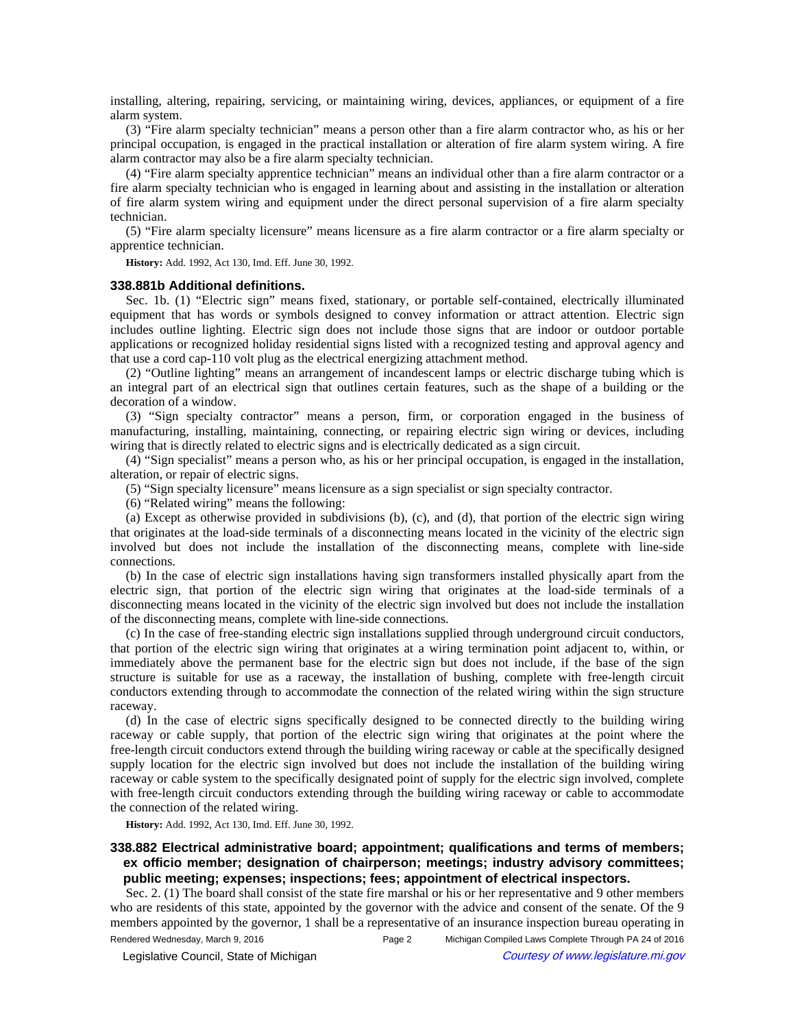installing, altering, repairing, servicing, or maintaining wiring, devices, appliances, or equipment of a fire alarm system.

(3) "Fire alarm specialty technician" means a person other than a fire alarm contractor who, as his or her principal occupation, is engaged in the practical installation or alteration of fire alarm system wiring. A fire alarm contractor may also be a fire alarm specialty technician.

(4) "Fire alarm specialty apprentice technician" means an individual other than a fire alarm contractor or a fire alarm specialty technician who is engaged in learning about and assisting in the installation or alteration of fire alarm system wiring and equipment under the direct personal supervision of a fire alarm specialty technician.

(5) "Fire alarm specialty licensure" means licensure as a fire alarm contractor or a fire alarm specialty or apprentice technician.

**History:** Add. 1992, Act 130, Imd. Eff. June 30, 1992.

## **338.881b Additional definitions.**

Sec. 1b. (1) "Electric sign" means fixed, stationary, or portable self-contained, electrically illuminated equipment that has words or symbols designed to convey information or attract attention. Electric sign includes outline lighting. Electric sign does not include those signs that are indoor or outdoor portable applications or recognized holiday residential signs listed with a recognized testing and approval agency and that use a cord cap-110 volt plug as the electrical energizing attachment method.

(2) "Outline lighting" means an arrangement of incandescent lamps or electric discharge tubing which is an integral part of an electrical sign that outlines certain features, such as the shape of a building or the decoration of a window.

(3) "Sign specialty contractor" means a person, firm, or corporation engaged in the business of manufacturing, installing, maintaining, connecting, or repairing electric sign wiring or devices, including wiring that is directly related to electric signs and is electrically dedicated as a sign circuit.

(4) "Sign specialist" means a person who, as his or her principal occupation, is engaged in the installation, alteration, or repair of electric signs.

(5) "Sign specialty licensure" means licensure as a sign specialist or sign specialty contractor.

(6) "Related wiring" means the following:

(a) Except as otherwise provided in subdivisions (b), (c), and (d), that portion of the electric sign wiring that originates at the load-side terminals of a disconnecting means located in the vicinity of the electric sign involved but does not include the installation of the disconnecting means, complete with line-side connections.

(b) In the case of electric sign installations having sign transformers installed physically apart from the electric sign, that portion of the electric sign wiring that originates at the load-side terminals of a disconnecting means located in the vicinity of the electric sign involved but does not include the installation of the disconnecting means, complete with line-side connections.

(c) In the case of free-standing electric sign installations supplied through underground circuit conductors, that portion of the electric sign wiring that originates at a wiring termination point adjacent to, within, or immediately above the permanent base for the electric sign but does not include, if the base of the sign structure is suitable for use as a raceway, the installation of bushing, complete with free-length circuit conductors extending through to accommodate the connection of the related wiring within the sign structure raceway.

(d) In the case of electric signs specifically designed to be connected directly to the building wiring raceway or cable supply, that portion of the electric sign wiring that originates at the point where the free-length circuit conductors extend through the building wiring raceway or cable at the specifically designed supply location for the electric sign involved but does not include the installation of the building wiring raceway or cable system to the specifically designated point of supply for the electric sign involved, complete with free-length circuit conductors extending through the building wiring raceway or cable to accommodate the connection of the related wiring.

**History:** Add. 1992, Act 130, Imd. Eff. June 30, 1992.

# **338.882 Electrical administrative board; appointment; qualifications and terms of members; ex officio member; designation of chairperson; meetings; industry advisory committees; public meeting; expenses; inspections; fees; appointment of electrical inspectors.**

Sec. 2. (1) The board shall consist of the state fire marshal or his or her representative and 9 other members who are residents of this state, appointed by the governor with the advice and consent of the senate. Of the 9 members appointed by the governor, 1 shall be a representative of an insurance inspection bureau operating in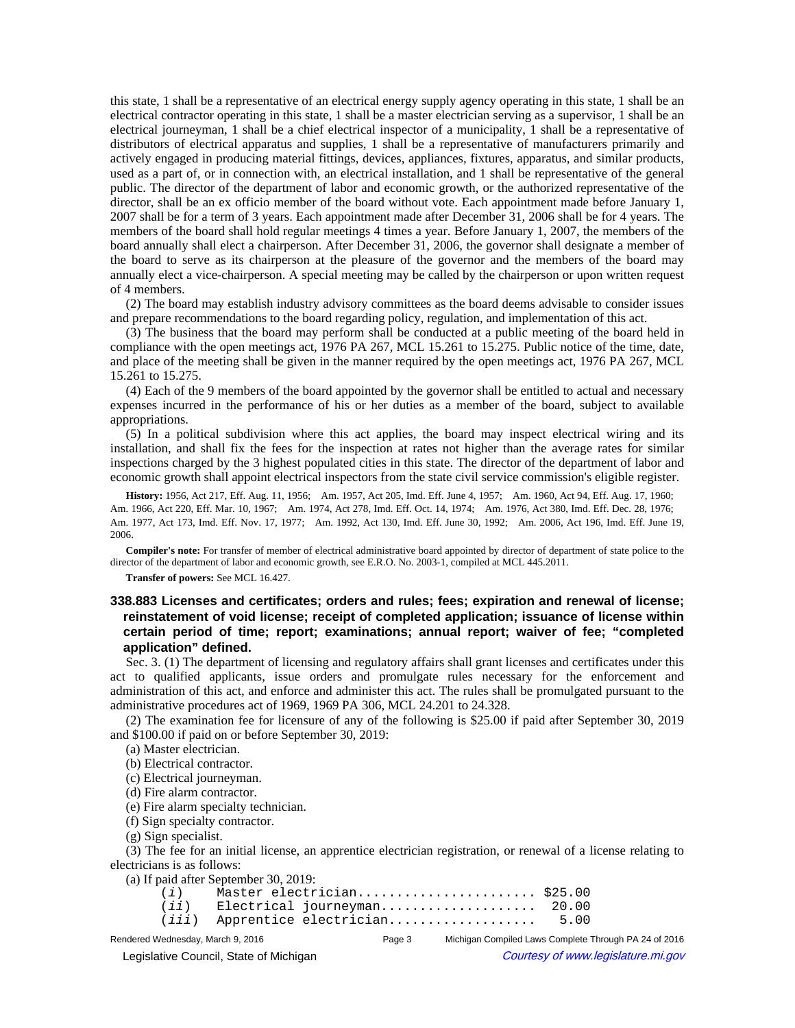this state, 1 shall be a representative of an electrical energy supply agency operating in this state, 1 shall be an electrical contractor operating in this state, 1 shall be a master electrician serving as a supervisor, 1 shall be an electrical journeyman, 1 shall be a chief electrical inspector of a municipality, 1 shall be a representative of distributors of electrical apparatus and supplies, 1 shall be a representative of manufacturers primarily and actively engaged in producing material fittings, devices, appliances, fixtures, apparatus, and similar products, used as a part of, or in connection with, an electrical installation, and 1 shall be representative of the general public. The director of the department of labor and economic growth, or the authorized representative of the director, shall be an ex officio member of the board without vote. Each appointment made before January 1, 2007 shall be for a term of 3 years. Each appointment made after December 31, 2006 shall be for 4 years. The members of the board shall hold regular meetings 4 times a year. Before January 1, 2007, the members of the board annually shall elect a chairperson. After December 31, 2006, the governor shall designate a member of the board to serve as its chairperson at the pleasure of the governor and the members of the board may annually elect a vice-chairperson. A special meeting may be called by the chairperson or upon written request of 4 members.

(2) The board may establish industry advisory committees as the board deems advisable to consider issues and prepare recommendations to the board regarding policy, regulation, and implementation of this act.

(3) The business that the board may perform shall be conducted at a public meeting of the board held in compliance with the open meetings act, 1976 PA 267, MCL 15.261 to 15.275. Public notice of the time, date, and place of the meeting shall be given in the manner required by the open meetings act, 1976 PA 267, MCL 15.261 to 15.275.

(4) Each of the 9 members of the board appointed by the governor shall be entitled to actual and necessary expenses incurred in the performance of his or her duties as a member of the board, subject to available appropriations.

(5) In a political subdivision where this act applies, the board may inspect electrical wiring and its installation, and shall fix the fees for the inspection at rates not higher than the average rates for similar inspections charged by the 3 highest populated cities in this state. The director of the department of labor and economic growth shall appoint electrical inspectors from the state civil service commission's eligible register.

History: 1956, Act 217, Eff. Aug. 11, 1956;—Am. 1957, Act 205, Imd. Eff. June 4, 1957;—Am. 1960, Act 94, Eff. Aug. 17, 1960;— Am. 1966, Act 220, Eff. Mar. 10, 1967;—Am. 1974, Act 278, Imd. Eff. Oct. 14, 1974;—Am. 1976, Act 380, Imd. Eff. Dec. 28, 1976;— Am. 1977, Act 173, Imd. Eff. Nov. 17, 1977;—Am. 1992, Act 130, Imd. Eff. June 30, 1992;—Am. 2006, Act 196, Imd. Eff. June 19, 2006.

**Compiler's note:** For transfer of member of electrical administrative board appointed by director of department of state police to the director of the department of labor and economic growth, see E.R.O. No. 2003-1, compiled at MCL 445.2011.

**Transfer of powers:** See MCL 16.427.

# **338.883 Licenses and certificates; orders and rules; fees; expiration and renewal of license; reinstatement of void license; receipt of completed application; issuance of license within certain period of time; report; examinations; annual report; waiver of fee; "completed application" defined.**

Sec. 3. (1) The department of licensing and regulatory affairs shall grant licenses and certificates under this act to qualified applicants, issue orders and promulgate rules necessary for the enforcement and administration of this act, and enforce and administer this act. The rules shall be promulgated pursuant to the administrative procedures act of 1969, 1969 PA 306, MCL 24.201 to 24.328.

(2) The examination fee for licensure of any of the following is \$25.00 if paid after September 30, 2019 and \$100.00 if paid on or before September 30, 2019:

(a) Master electrician.

(b) Electrical contractor.

(c) Electrical journeyman.

(d) Fire alarm contractor.

(e) Fire alarm specialty technician.

(f) Sign specialty contractor.

(g) Sign specialist.

(3) The fee for an initial license, an apprentice electrician registration, or renewal of a license relating to electricians is as follows:

(a) If paid after September 30, 2019:

|  | $(i)$ Master electrician \$25.00    |  |
|--|-------------------------------------|--|
|  | $(ii)$ Electrical journeyman 20.00  |  |
|  | $(iii)$ Apprentice electrician 5.00 |  |

Rendered Wednesday, March 9, 2016 Page 3 Michigan Compiled Laws Complete Through PA 24 of 2016 © Legislative Council, State of Michigan Council Courtesy of www.legislature.mi.gov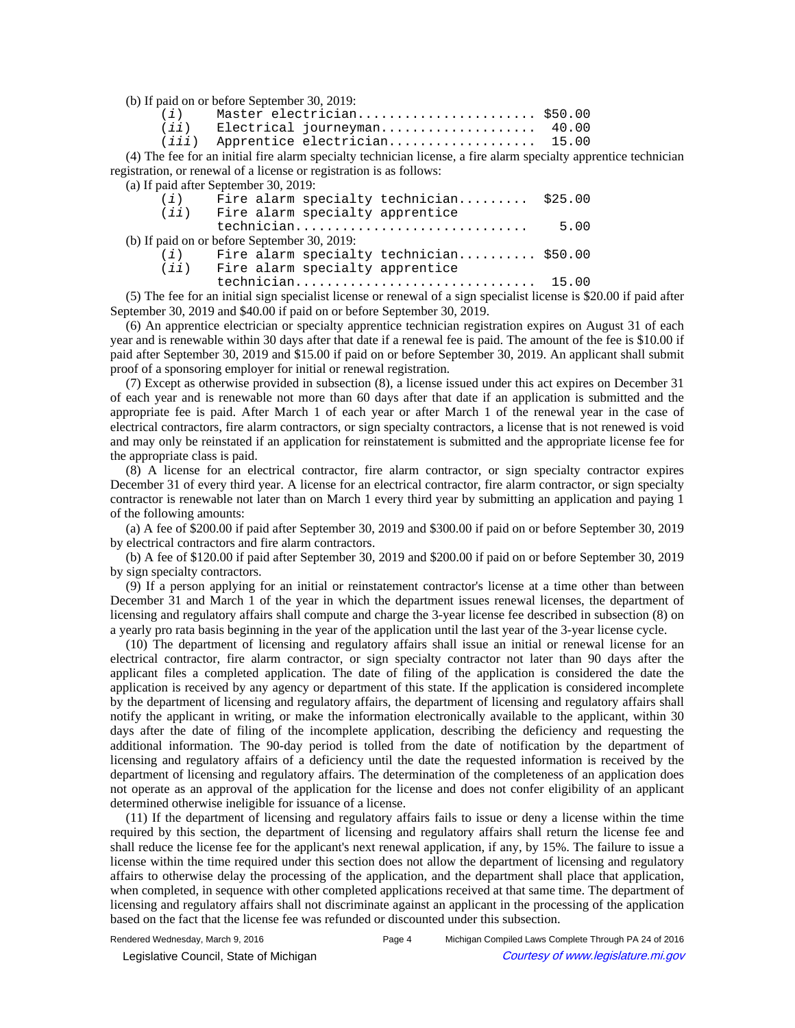(b) If paid on or before September 30, 2019:

| (i) | Master electrician \$50.00           |  |
|-----|--------------------------------------|--|
|     | (ii) Electrical journeyman 40.00     |  |
|     | $(iii)$ Apprentice electrician 15.00 |  |

(4) The fee for an initial fire alarm specialty technician license, a fire alarm specialty apprentice technician registration, or renewal of a license or registration is as follows:

(a) If paid after September 30, 2019:

| (i)  | Fire alarm specialty technician \$25.00       |      |
|------|-----------------------------------------------|------|
| (ij) | Fire alarm specialty apprentice               |      |
|      | technician                                    | 5.00 |
|      | (b) If paid on or before September 30, 2019:  |      |
|      | $(i)$ Fire alarm specialty technician \$50.00 |      |
|      | $(iii)$ Fire alarm specialty apprentice       |      |
|      |                                               |      |

(5) The fee for an initial sign specialist license or renewal of a sign specialist license is \$20.00 if paid after September 30, 2019 and \$40.00 if paid on or before September 30, 2019.

(6) An apprentice electrician or specialty apprentice technician registration expires on August 31 of each year and is renewable within 30 days after that date if a renewal fee is paid. The amount of the fee is \$10.00 if paid after September 30, 2019 and \$15.00 if paid on or before September 30, 2019. An applicant shall submit proof of a sponsoring employer for initial or renewal registration.

(7) Except as otherwise provided in subsection (8), a license issued under this act expires on December 31 of each year and is renewable not more than 60 days after that date if an application is submitted and the appropriate fee is paid. After March 1 of each year or after March 1 of the renewal year in the case of electrical contractors, fire alarm contractors, or sign specialty contractors, a license that is not renewed is void and may only be reinstated if an application for reinstatement is submitted and the appropriate license fee for the appropriate class is paid.

(8) A license for an electrical contractor, fire alarm contractor, or sign specialty contractor expires December 31 of every third year. A license for an electrical contractor, fire alarm contractor, or sign specialty contractor is renewable not later than on March 1 every third year by submitting an application and paying 1 of the following amounts:

(a) A fee of \$200.00 if paid after September 30, 2019 and \$300.00 if paid on or before September 30, 2019 by electrical contractors and fire alarm contractors.

(b) A fee of \$120.00 if paid after September 30, 2019 and \$200.00 if paid on or before September 30, 2019 by sign specialty contractors.

(9) If a person applying for an initial or reinstatement contractor's license at a time other than between December 31 and March 1 of the year in which the department issues renewal licenses, the department of licensing and regulatory affairs shall compute and charge the 3-year license fee described in subsection (8) on a yearly pro rata basis beginning in the year of the application until the last year of the 3-year license cycle.

(10) The department of licensing and regulatory affairs shall issue an initial or renewal license for an electrical contractor, fire alarm contractor, or sign specialty contractor not later than 90 days after the applicant files a completed application. The date of filing of the application is considered the date the application is received by any agency or department of this state. If the application is considered incomplete by the department of licensing and regulatory affairs, the department of licensing and regulatory affairs shall notify the applicant in writing, or make the information electronically available to the applicant, within 30 days after the date of filing of the incomplete application, describing the deficiency and requesting the additional information. The 90-day period is tolled from the date of notification by the department of licensing and regulatory affairs of a deficiency until the date the requested information is received by the department of licensing and regulatory affairs. The determination of the completeness of an application does not operate as an approval of the application for the license and does not confer eligibility of an applicant determined otherwise ineligible for issuance of a license.

(11) If the department of licensing and regulatory affairs fails to issue or deny a license within the time required by this section, the department of licensing and regulatory affairs shall return the license fee and shall reduce the license fee for the applicant's next renewal application, if any, by 15%. The failure to issue a license within the time required under this section does not allow the department of licensing and regulatory affairs to otherwise delay the processing of the application, and the department shall place that application, when completed, in sequence with other completed applications received at that same time. The department of licensing and regulatory affairs shall not discriminate against an applicant in the processing of the application based on the fact that the license fee was refunded or discounted under this subsection.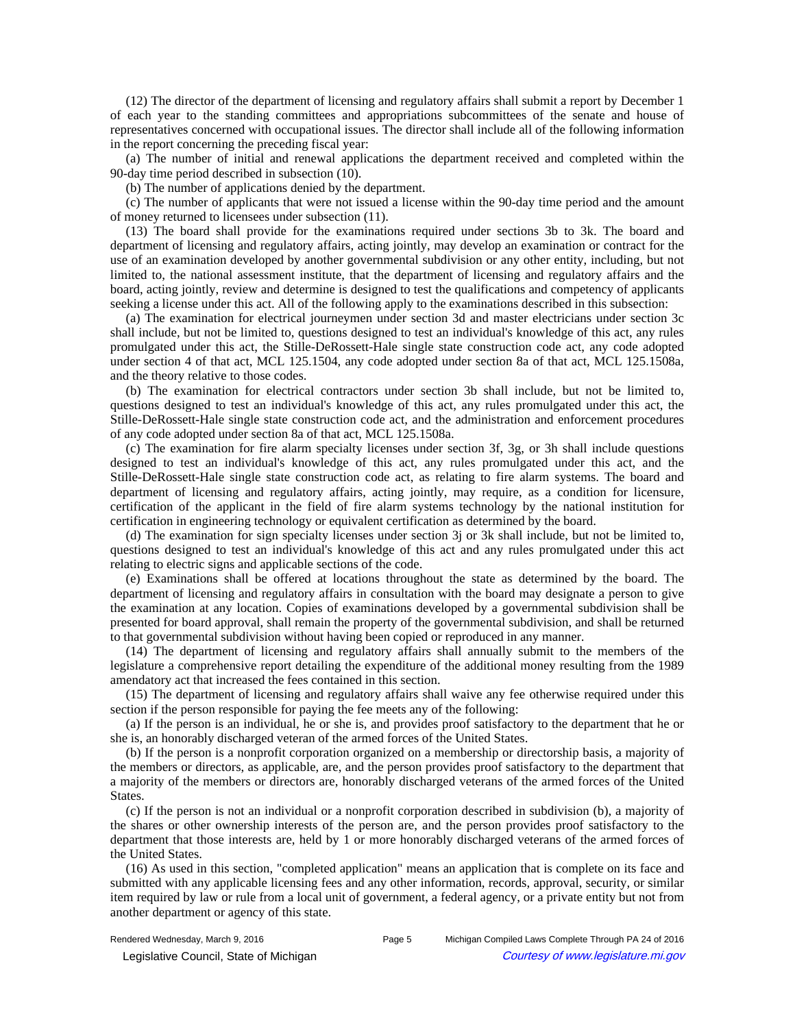(12) The director of the department of licensing and regulatory affairs shall submit a report by December 1 of each year to the standing committees and appropriations subcommittees of the senate and house of representatives concerned with occupational issues. The director shall include all of the following information in the report concerning the preceding fiscal year:

(a) The number of initial and renewal applications the department received and completed within the 90-day time period described in subsection (10).

(b) The number of applications denied by the department.

(c) The number of applicants that were not issued a license within the 90-day time period and the amount of money returned to licensees under subsection (11).

(13) The board shall provide for the examinations required under sections 3b to 3k. The board and department of licensing and regulatory affairs, acting jointly, may develop an examination or contract for the use of an examination developed by another governmental subdivision or any other entity, including, but not limited to, the national assessment institute, that the department of licensing and regulatory affairs and the board, acting jointly, review and determine is designed to test the qualifications and competency of applicants seeking a license under this act. All of the following apply to the examinations described in this subsection:

(a) The examination for electrical journeymen under section 3d and master electricians under section 3c shall include, but not be limited to, questions designed to test an individual's knowledge of this act, any rules promulgated under this act, the Stille-DeRossett-Hale single state construction code act, any code adopted under section 4 of that act, MCL 125.1504, any code adopted under section 8a of that act, MCL 125.1508a, and the theory relative to those codes.

(b) The examination for electrical contractors under section 3b shall include, but not be limited to, questions designed to test an individual's knowledge of this act, any rules promulgated under this act, the Stille-DeRossett-Hale single state construction code act, and the administration and enforcement procedures of any code adopted under section 8a of that act, MCL 125.1508a.

(c) The examination for fire alarm specialty licenses under section 3f, 3g, or 3h shall include questions designed to test an individual's knowledge of this act, any rules promulgated under this act, and the Stille-DeRossett-Hale single state construction code act, as relating to fire alarm systems. The board and department of licensing and regulatory affairs, acting jointly, may require, as a condition for licensure, certification of the applicant in the field of fire alarm systems technology by the national institution for certification in engineering technology or equivalent certification as determined by the board.

(d) The examination for sign specialty licenses under section 3j or 3k shall include, but not be limited to, questions designed to test an individual's knowledge of this act and any rules promulgated under this act relating to electric signs and applicable sections of the code.

(e) Examinations shall be offered at locations throughout the state as determined by the board. The department of licensing and regulatory affairs in consultation with the board may designate a person to give the examination at any location. Copies of examinations developed by a governmental subdivision shall be presented for board approval, shall remain the property of the governmental subdivision, and shall be returned to that governmental subdivision without having been copied or reproduced in any manner.

(14) The department of licensing and regulatory affairs shall annually submit to the members of the legislature a comprehensive report detailing the expenditure of the additional money resulting from the 1989 amendatory act that increased the fees contained in this section.

(15) The department of licensing and regulatory affairs shall waive any fee otherwise required under this section if the person responsible for paying the fee meets any of the following:

(a) If the person is an individual, he or she is, and provides proof satisfactory to the department that he or she is, an honorably discharged veteran of the armed forces of the United States.

(b) If the person is a nonprofit corporation organized on a membership or directorship basis, a majority of the members or directors, as applicable, are, and the person provides proof satisfactory to the department that a majority of the members or directors are, honorably discharged veterans of the armed forces of the United States.

(c) If the person is not an individual or a nonprofit corporation described in subdivision (b), a majority of the shares or other ownership interests of the person are, and the person provides proof satisfactory to the department that those interests are, held by 1 or more honorably discharged veterans of the armed forces of the United States.

(16) As used in this section, "completed application" means an application that is complete on its face and submitted with any applicable licensing fees and any other information, records, approval, security, or similar item required by law or rule from a local unit of government, a federal agency, or a private entity but not from another department or agency of this state.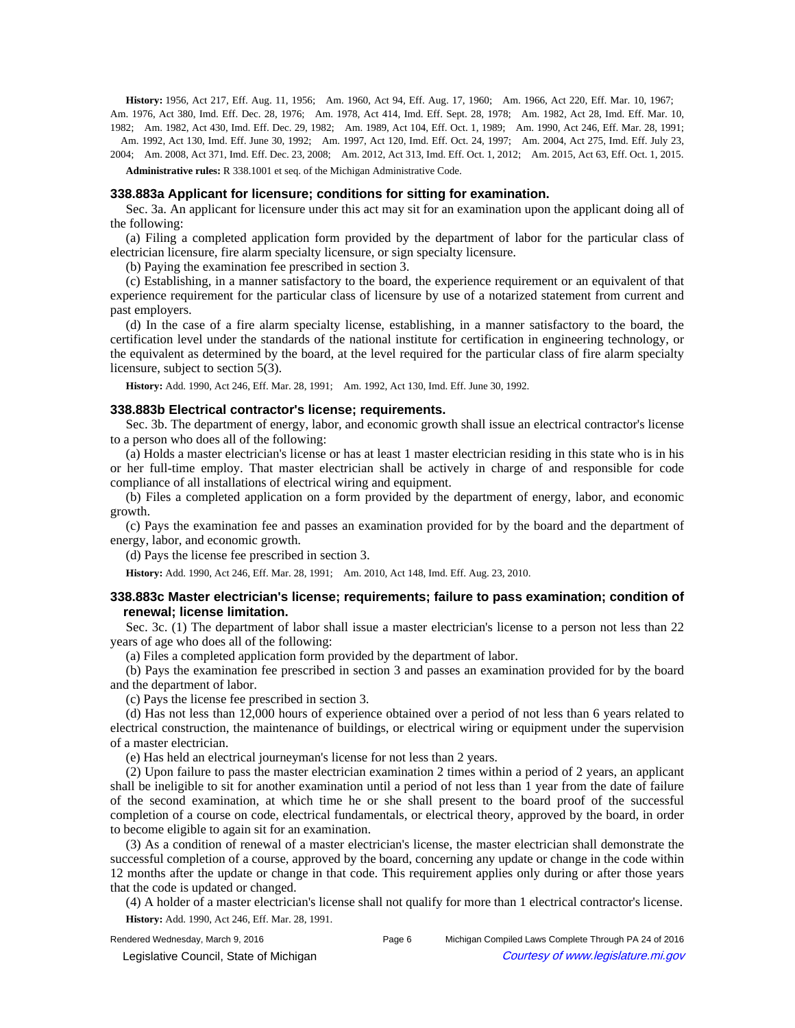History: 1956, Act 217, Eff. Aug. 11, 1956;—Am. 1960, Act 94, Eff. Aug. 17, 1960;—Am. 1966, Act 220, Eff. Mar. 10, 1967;— Am. 1976, Act 380, Imd. Eff. Dec. 28, 1976;—Am. 1978, Act 414, Imd. Eff. Sept. 28, 1978;—Am. 1982, Act 28, Imd. Eff. Mar. 10, 1982;—Am. 1982, Act 430, Imd. Eff. Dec. 29, 1982;—Am. 1989, Act 104, Eff. Oct. 1, 1989;—Am. 1990, Act 246, Eff. Mar. 28, 1991; —Am. 1992, Act 130, Imd. Eff. June 30, 1992;—Am. 1997, Act 120, Imd. Eff. Oct. 24, 1997;—Am. 2004, Act 275, Imd. Eff. July 23, 2004;—Am. 2008, Act 371, Imd. Eff. Dec. 23, 2008;—Am. 2012, Act 313, Imd. Eff. Oct. 1, 2012;—Am. 2015, Act 63, Eff. Oct. 1, 2015.

**Administrative rules:** R 338.1001 et seq. of the Michigan Administrative Code.

#### **338.883a Applicant for licensure; conditions for sitting for examination.**

Sec. 3a. An applicant for licensure under this act may sit for an examination upon the applicant doing all of the following:

(a) Filing a completed application form provided by the department of labor for the particular class of electrician licensure, fire alarm specialty licensure, or sign specialty licensure.

(b) Paying the examination fee prescribed in section 3.

(c) Establishing, in a manner satisfactory to the board, the experience requirement or an equivalent of that experience requirement for the particular class of licensure by use of a notarized statement from current and past employers.

(d) In the case of a fire alarm specialty license, establishing, in a manner satisfactory to the board, the certification level under the standards of the national institute for certification in engineering technology, or the equivalent as determined by the board, at the level required for the particular class of fire alarm specialty licensure, subject to section 5(3).

History: Add. 1990, Act 246, Eff. Mar. 28, 1991;-- Am. 1992, Act 130, Imd. Eff. June 30, 1992.

#### **338.883b Electrical contractor's license; requirements.**

Sec. 3b. The department of energy, labor, and economic growth shall issue an electrical contractor's license to a person who does all of the following:

(a) Holds a master electrician's license or has at least 1 master electrician residing in this state who is in his or her full-time employ. That master electrician shall be actively in charge of and responsible for code compliance of all installations of electrical wiring and equipment.

(b) Files a completed application on a form provided by the department of energy, labor, and economic growth.

(c) Pays the examination fee and passes an examination provided for by the board and the department of energy, labor, and economic growth.

(d) Pays the license fee prescribed in section 3.

History: Add. 1990, Act 246, Eff. Mar. 28, 1991;-- Am. 2010, Act 148, Imd. Eff. Aug. 23, 2010.

# **338.883c Master electrician's license; requirements; failure to pass examination; condition of renewal; license limitation.**

Sec. 3c. (1) The department of labor shall issue a master electrician's license to a person not less than 22 years of age who does all of the following:

(a) Files a completed application form provided by the department of labor.

(b) Pays the examination fee prescribed in section 3 and passes an examination provided for by the board and the department of labor.

(c) Pays the license fee prescribed in section 3.

(d) Has not less than 12,000 hours of experience obtained over a period of not less than 6 years related to electrical construction, the maintenance of buildings, or electrical wiring or equipment under the supervision of a master electrician.

(e) Has held an electrical journeyman's license for not less than 2 years.

(2) Upon failure to pass the master electrician examination 2 times within a period of 2 years, an applicant shall be ineligible to sit for another examination until a period of not less than 1 year from the date of failure of the second examination, at which time he or she shall present to the board proof of the successful completion of a course on code, electrical fundamentals, or electrical theory, approved by the board, in order to become eligible to again sit for an examination.

(3) As a condition of renewal of a master electrician's license, the master electrician shall demonstrate the successful completion of a course, approved by the board, concerning any update or change in the code within 12 months after the update or change in that code. This requirement applies only during or after those years that the code is updated or changed.

(4) A holder of a master electrician's license shall not qualify for more than 1 electrical contractor's license. **History:** Add. 1990, Act 246, Eff. Mar. 28, 1991.

Rendered Wednesday, March 9, 2016 Page 6 Michigan Compiled Laws Complete Through PA 24 of 2016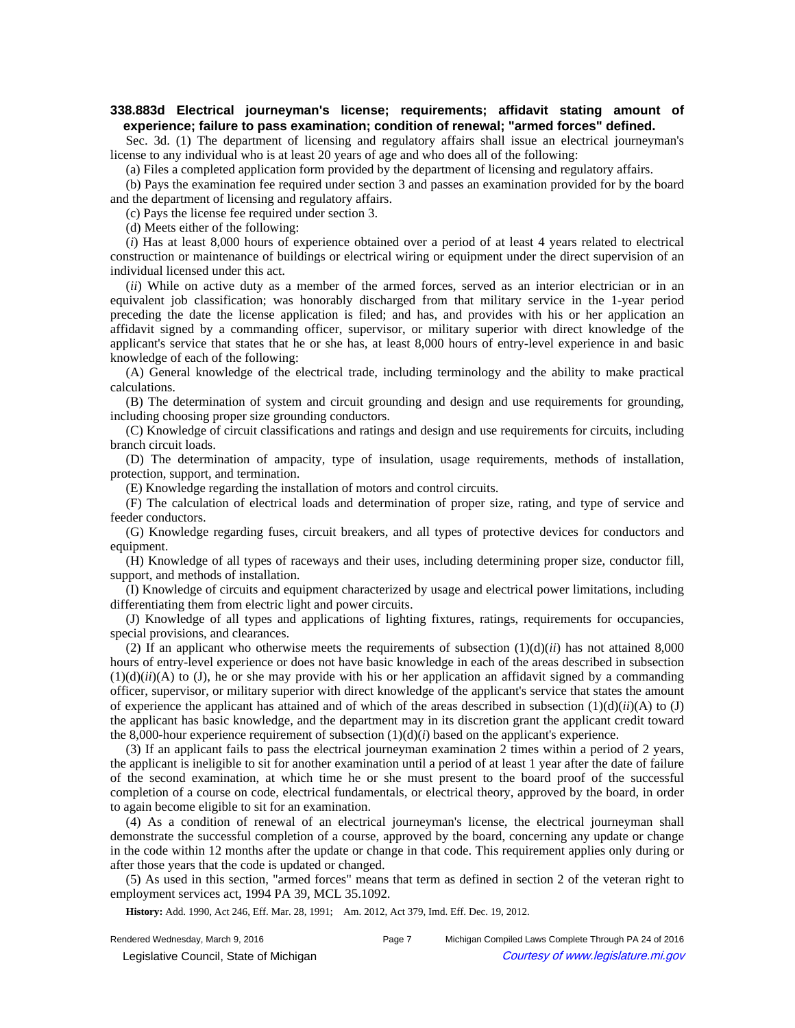# **338.883d Electrical journeyman's license; requirements; affidavit stating amount of experience; failure to pass examination; condition of renewal; "armed forces" defined.**

Sec. 3d. (1) The department of licensing and regulatory affairs shall issue an electrical journeyman's license to any individual who is at least 20 years of age and who does all of the following:

(a) Files a completed application form provided by the department of licensing and regulatory affairs.

(b) Pays the examination fee required under section 3 and passes an examination provided for by the board and the department of licensing and regulatory affairs.

(c) Pays the license fee required under section 3.

(d) Meets either of the following:

(*i*) Has at least 8,000 hours of experience obtained over a period of at least 4 years related to electrical construction or maintenance of buildings or electrical wiring or equipment under the direct supervision of an individual licensed under this act.

(*ii*) While on active duty as a member of the armed forces, served as an interior electrician or in an equivalent job classification; was honorably discharged from that military service in the 1-year period preceding the date the license application is filed; and has, and provides with his or her application an affidavit signed by a commanding officer, supervisor, or military superior with direct knowledge of the applicant's service that states that he or she has, at least 8,000 hours of entry-level experience in and basic knowledge of each of the following:

(A) General knowledge of the electrical trade, including terminology and the ability to make practical calculations.

(B) The determination of system and circuit grounding and design and use requirements for grounding, including choosing proper size grounding conductors.

(C) Knowledge of circuit classifications and ratings and design and use requirements for circuits, including branch circuit loads.

(D) The determination of ampacity, type of insulation, usage requirements, methods of installation, protection, support, and termination.

(E) Knowledge regarding the installation of motors and control circuits.

(F) The calculation of electrical loads and determination of proper size, rating, and type of service and feeder conductors.

(G) Knowledge regarding fuses, circuit breakers, and all types of protective devices for conductors and equipment.

(H) Knowledge of all types of raceways and their uses, including determining proper size, conductor fill, support, and methods of installation.

(I) Knowledge of circuits and equipment characterized by usage and electrical power limitations, including differentiating them from electric light and power circuits.

(J) Knowledge of all types and applications of lighting fixtures, ratings, requirements for occupancies, special provisions, and clearances.

(2) If an applicant who otherwise meets the requirements of subsection  $(1)(d)(ii)$  has not attained 8,000 hours of entry-level experience or does not have basic knowledge in each of the areas described in subsection  $(1)(d)(ii)(A)$  to (J), he or she may provide with his or her application an affidavit signed by a commanding officer, supervisor, or military superior with direct knowledge of the applicant's service that states the amount of experience the applicant has attained and of which of the areas described in subsection  $(1)(d)(ii)(A)$  to  $(J)$ the applicant has basic knowledge, and the department may in its discretion grant the applicant credit toward the 8,000-hour experience requirement of subsection  $(1)(d)(i)$  based on the applicant's experience.

(3) If an applicant fails to pass the electrical journeyman examination 2 times within a period of 2 years, the applicant is ineligible to sit for another examination until a period of at least 1 year after the date of failure of the second examination, at which time he or she must present to the board proof of the successful completion of a course on code, electrical fundamentals, or electrical theory, approved by the board, in order to again become eligible to sit for an examination.

(4) As a condition of renewal of an electrical journeyman's license, the electrical journeyman shall demonstrate the successful completion of a course, approved by the board, concerning any update or change in the code within 12 months after the update or change in that code. This requirement applies only during or after those years that the code is updated or changed.

(5) As used in this section, "armed forces" means that term as defined in section 2 of the veteran right to employment services act, 1994 PA 39, MCL 35.1092.

History: Add. 1990, Act 246, Eff. Mar. 28, 1991;-- Am. 2012, Act 379, Imd. Eff. Dec. 19, 2012.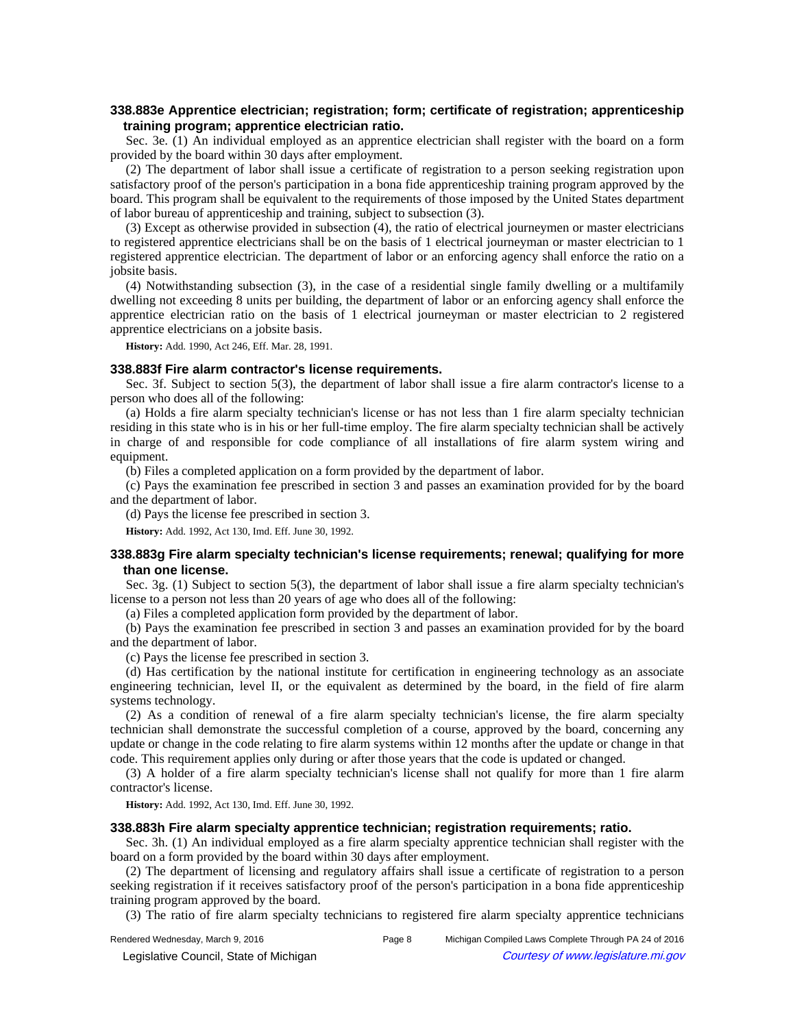# **338.883e Apprentice electrician; registration; form; certificate of registration; apprenticeship training program; apprentice electrician ratio.**

Sec. 3e. (1) An individual employed as an apprentice electrician shall register with the board on a form provided by the board within 30 days after employment.

(2) The department of labor shall issue a certificate of registration to a person seeking registration upon satisfactory proof of the person's participation in a bona fide apprenticeship training program approved by the board. This program shall be equivalent to the requirements of those imposed by the United States department of labor bureau of apprenticeship and training, subject to subsection (3).

(3) Except as otherwise provided in subsection (4), the ratio of electrical journeymen or master electricians to registered apprentice electricians shall be on the basis of 1 electrical journeyman or master electrician to 1 registered apprentice electrician. The department of labor or an enforcing agency shall enforce the ratio on a jobsite basis.

(4) Notwithstanding subsection (3), in the case of a residential single family dwelling or a multifamily dwelling not exceeding 8 units per building, the department of labor or an enforcing agency shall enforce the apprentice electrician ratio on the basis of 1 electrical journeyman or master electrician to 2 registered apprentice electricians on a jobsite basis.

**History:** Add. 1990, Act 246, Eff. Mar. 28, 1991.

### **338.883f Fire alarm contractor's license requirements.**

Sec. 3f. Subject to section 5(3), the department of labor shall issue a fire alarm contractor's license to a person who does all of the following:

(a) Holds a fire alarm specialty technician's license or has not less than 1 fire alarm specialty technician residing in this state who is in his or her full-time employ. The fire alarm specialty technician shall be actively in charge of and responsible for code compliance of all installations of fire alarm system wiring and equipment.

(b) Files a completed application on a form provided by the department of labor.

(c) Pays the examination fee prescribed in section 3 and passes an examination provided for by the board and the department of labor.

(d) Pays the license fee prescribed in section 3.

**History:** Add. 1992, Act 130, Imd. Eff. June 30, 1992.

# **338.883g Fire alarm specialty technician's license requirements; renewal; qualifying for more than one license.**

Sec. 3g. (1) Subject to section 5(3), the department of labor shall issue a fire alarm specialty technician's license to a person not less than 20 years of age who does all of the following:

(a) Files a completed application form provided by the department of labor.

(b) Pays the examination fee prescribed in section 3 and passes an examination provided for by the board and the department of labor.

(c) Pays the license fee prescribed in section 3.

(d) Has certification by the national institute for certification in engineering technology as an associate engineering technician, level II, or the equivalent as determined by the board, in the field of fire alarm systems technology.

(2) As a condition of renewal of a fire alarm specialty technician's license, the fire alarm specialty technician shall demonstrate the successful completion of a course, approved by the board, concerning any update or change in the code relating to fire alarm systems within 12 months after the update or change in that code. This requirement applies only during or after those years that the code is updated or changed.

(3) A holder of a fire alarm specialty technician's license shall not qualify for more than 1 fire alarm contractor's license.

**History:** Add. 1992, Act 130, Imd. Eff. June 30, 1992.

# **338.883h Fire alarm specialty apprentice technician; registration requirements; ratio.**

Sec. 3h. (1) An individual employed as a fire alarm specialty apprentice technician shall register with the board on a form provided by the board within 30 days after employment.

(2) The department of licensing and regulatory affairs shall issue a certificate of registration to a person seeking registration if it receives satisfactory proof of the person's participation in a bona fide apprenticeship training program approved by the board.

(3) The ratio of fire alarm specialty technicians to registered fire alarm specialty apprentice technicians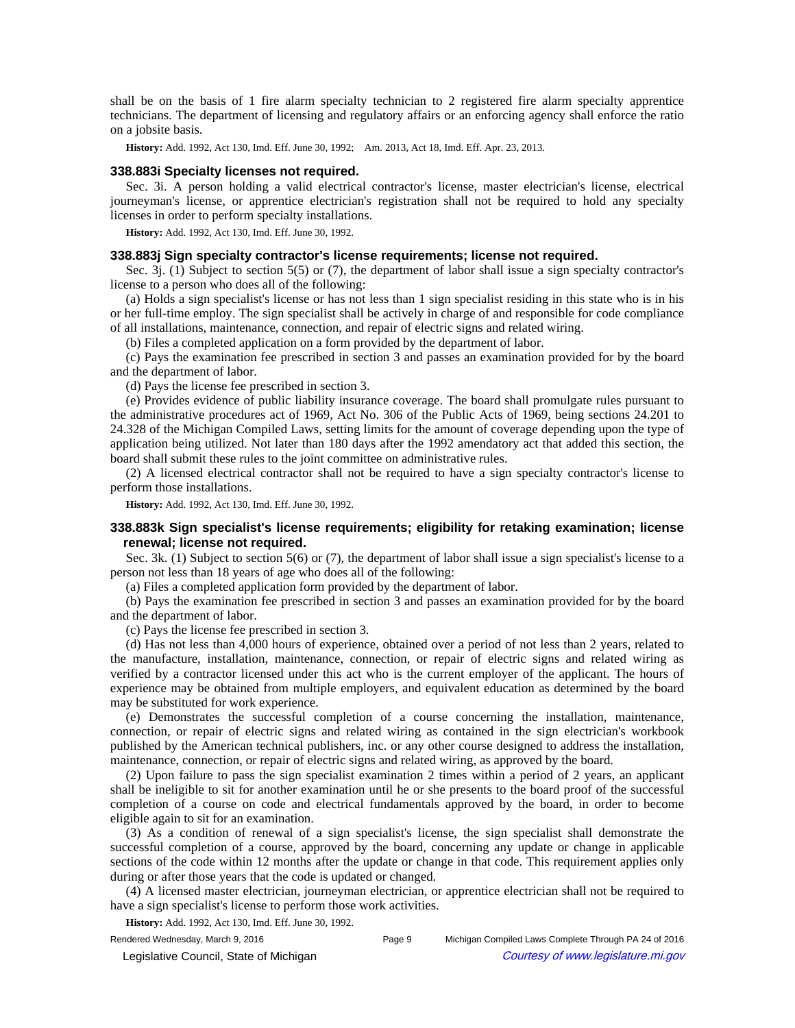shall be on the basis of 1 fire alarm specialty technician to 2 registered fire alarm specialty apprentice technicians. The department of licensing and regulatory affairs or an enforcing agency shall enforce the ratio on a jobsite basis.

History: Add. 1992, Act 130, Imd. Eff. June 30, 1992;—Am. 2013, Act 18, Imd. Eff. Apr. 23, 2013.

## **338.883i Specialty licenses not required.**

Sec. 3i. A person holding a valid electrical contractor's license, master electrician's license, electrical journeyman's license, or apprentice electrician's registration shall not be required to hold any specialty licenses in order to perform specialty installations.

**History:** Add. 1992, Act 130, Imd. Eff. June 30, 1992.

## **338.883j Sign specialty contractor's license requirements; license not required.**

Sec. 3j. (1) Subject to section 5(5) or (7), the department of labor shall issue a sign specialty contractor's license to a person who does all of the following:

(a) Holds a sign specialist's license or has not less than 1 sign specialist residing in this state who is in his or her full-time employ. The sign specialist shall be actively in charge of and responsible for code compliance of all installations, maintenance, connection, and repair of electric signs and related wiring.

(b) Files a completed application on a form provided by the department of labor.

(c) Pays the examination fee prescribed in section 3 and passes an examination provided for by the board and the department of labor.

(d) Pays the license fee prescribed in section 3.

(e) Provides evidence of public liability insurance coverage. The board shall promulgate rules pursuant to the administrative procedures act of 1969, Act No. 306 of the Public Acts of 1969, being sections 24.201 to 24.328 of the Michigan Compiled Laws, setting limits for the amount of coverage depending upon the type of application being utilized. Not later than 180 days after the 1992 amendatory act that added this section, the board shall submit these rules to the joint committee on administrative rules.

(2) A licensed electrical contractor shall not be required to have a sign specialty contractor's license to perform those installations.

**History:** Add. 1992, Act 130, Imd. Eff. June 30, 1992.

# **338.883k Sign specialist's license requirements; eligibility for retaking examination; license renewal; license not required.**

Sec. 3k. (1) Subject to section 5(6) or (7), the department of labor shall issue a sign specialist's license to a person not less than 18 years of age who does all of the following:

(a) Files a completed application form provided by the department of labor.

(b) Pays the examination fee prescribed in section 3 and passes an examination provided for by the board and the department of labor.

(c) Pays the license fee prescribed in section 3.

(d) Has not less than 4,000 hours of experience, obtained over a period of not less than 2 years, related to the manufacture, installation, maintenance, connection, or repair of electric signs and related wiring as verified by a contractor licensed under this act who is the current employer of the applicant. The hours of experience may be obtained from multiple employers, and equivalent education as determined by the board may be substituted for work experience.

(e) Demonstrates the successful completion of a course concerning the installation, maintenance, connection, or repair of electric signs and related wiring as contained in the sign electrician's workbook published by the American technical publishers, inc. or any other course designed to address the installation, maintenance, connection, or repair of electric signs and related wiring, as approved by the board.

(2) Upon failure to pass the sign specialist examination 2 times within a period of 2 years, an applicant shall be ineligible to sit for another examination until he or she presents to the board proof of the successful completion of a course on code and electrical fundamentals approved by the board, in order to become eligible again to sit for an examination.

(3) As a condition of renewal of a sign specialist's license, the sign specialist shall demonstrate the successful completion of a course, approved by the board, concerning any update or change in applicable sections of the code within 12 months after the update or change in that code. This requirement applies only during or after those years that the code is updated or changed.

(4) A licensed master electrician, journeyman electrician, or apprentice electrician shall not be required to have a sign specialist's license to perform those work activities.

**History:** Add. 1992, Act 130, Imd. Eff. June 30, 1992.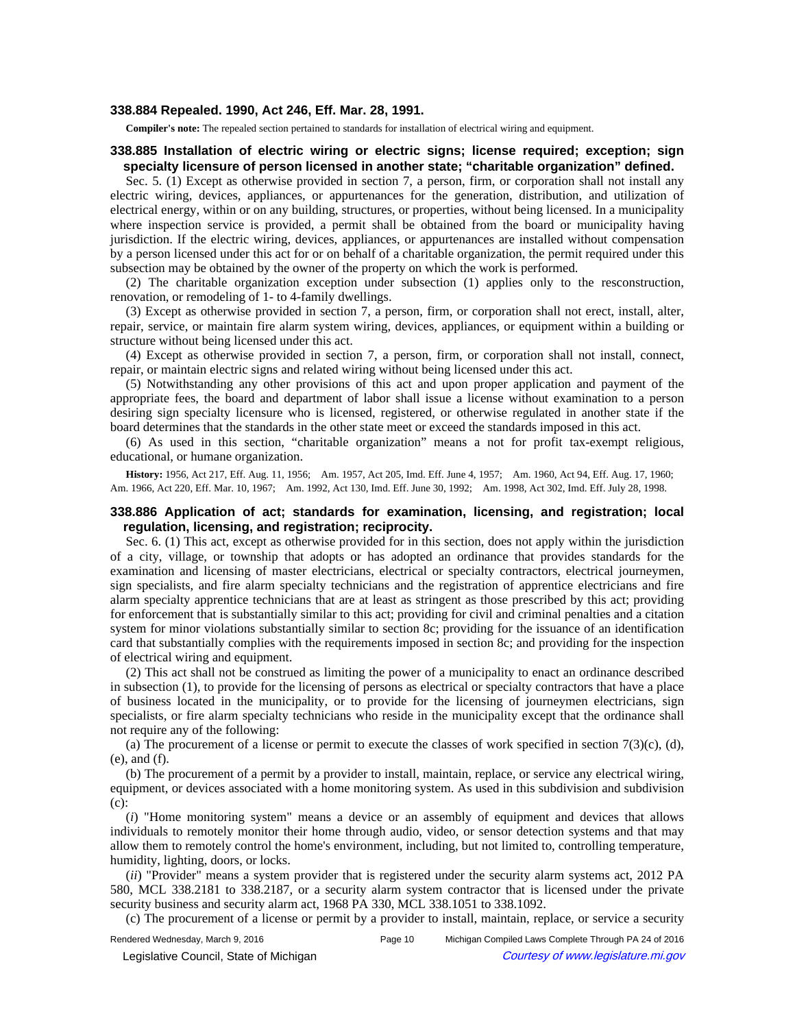#### **338.884 Repealed. 1990, Act 246, Eff. Mar. 28, 1991.**

**Compiler's note:** The repealed section pertained to standards for installation of electrical wiring and equipment.

## **338.885 Installation of electric wiring or electric signs; license required; exception; sign specialty licensure of person licensed in another state; "charitable organization" defined.**

Sec. 5. (1) Except as otherwise provided in section 7, a person, firm, or corporation shall not install any electric wiring, devices, appliances, or appurtenances for the generation, distribution, and utilization of electrical energy, within or on any building, structures, or properties, without being licensed. In a municipality where inspection service is provided, a permit shall be obtained from the board or municipality having jurisdiction. If the electric wiring, devices, appliances, or appurtenances are installed without compensation by a person licensed under this act for or on behalf of a charitable organization, the permit required under this subsection may be obtained by the owner of the property on which the work is performed.

(2) The charitable organization exception under subsection (1) applies only to the resconstruction, renovation, or remodeling of 1- to 4-family dwellings.

(3) Except as otherwise provided in section 7, a person, firm, or corporation shall not erect, install, alter, repair, service, or maintain fire alarm system wiring, devices, appliances, or equipment within a building or structure without being licensed under this act.

(4) Except as otherwise provided in section 7, a person, firm, or corporation shall not install, connect, repair, or maintain electric signs and related wiring without being licensed under this act.

(5) Notwithstanding any other provisions of this act and upon proper application and payment of the appropriate fees, the board and department of labor shall issue a license without examination to a person desiring sign specialty licensure who is licensed, registered, or otherwise regulated in another state if the board determines that the standards in the other state meet or exceed the standards imposed in this act.

(6) As used in this section, "charitable organization" means a not for profit tax-exempt religious, educational, or humane organization.

History: 1956, Act 217, Eff. Aug. 11, 1956;—Am. 1957, Act 205, Imd. Eff. June 4, 1957;—Am. 1960, Act 94, Eff. Aug. 17, 1960;— Am. 1966, Act 220, Eff. Mar. 10, 1967;—Am. 1992, Act 130, Imd. Eff. June 30, 1992;—Am. 1998, Act 302, Imd. Eff. July 28, 1998.

## **338.886 Application of act; standards for examination, licensing, and registration; local regulation, licensing, and registration; reciprocity.**

Sec. 6. (1) This act, except as otherwise provided for in this section, does not apply within the jurisdiction of a city, village, or township that adopts or has adopted an ordinance that provides standards for the examination and licensing of master electricians, electrical or specialty contractors, electrical journeymen, sign specialists, and fire alarm specialty technicians and the registration of apprentice electricians and fire alarm specialty apprentice technicians that are at least as stringent as those prescribed by this act; providing for enforcement that is substantially similar to this act; providing for civil and criminal penalties and a citation system for minor violations substantially similar to section 8c; providing for the issuance of an identification card that substantially complies with the requirements imposed in section 8c; and providing for the inspection of electrical wiring and equipment.

(2) This act shall not be construed as limiting the power of a municipality to enact an ordinance described in subsection (1), to provide for the licensing of persons as electrical or specialty contractors that have a place of business located in the municipality, or to provide for the licensing of journeymen electricians, sign specialists, or fire alarm specialty technicians who reside in the municipality except that the ordinance shall not require any of the following:

(a) The procurement of a license or permit to execute the classes of work specified in section  $7(3)(c)$ , (d), (e), and (f).

(b) The procurement of a permit by a provider to install, maintain, replace, or service any electrical wiring, equipment, or devices associated with a home monitoring system. As used in this subdivision and subdivision (c):

(*i*) "Home monitoring system" means a device or an assembly of equipment and devices that allows individuals to remotely monitor their home through audio, video, or sensor detection systems and that may allow them to remotely control the home's environment, including, but not limited to, controlling temperature, humidity, lighting, doors, or locks.

(*ii*) "Provider" means a system provider that is registered under the security alarm systems act, 2012 PA 580, MCL 338.2181 to 338.2187, or a security alarm system contractor that is licensed under the private security business and security alarm act, 1968 PA 330, MCL 338.1051 to 338.1092.

(c) The procurement of a license or permit by a provider to install, maintain, replace, or service a security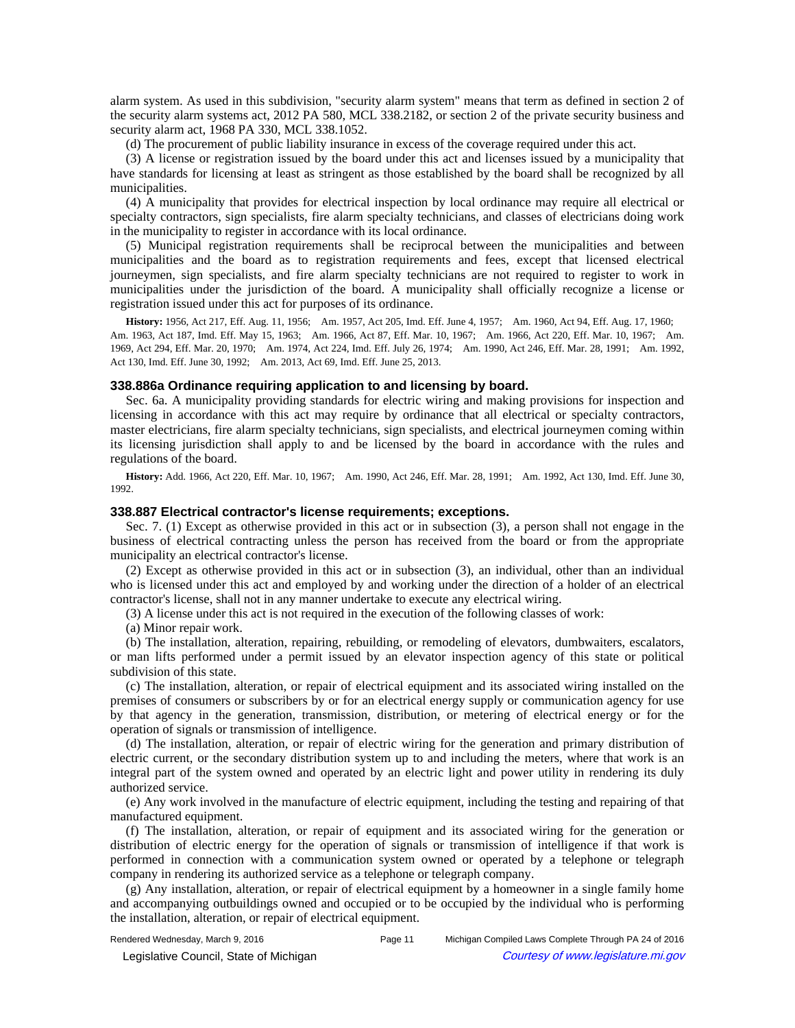alarm system. As used in this subdivision, "security alarm system" means that term as defined in section 2 of the security alarm systems act, 2012 PA 580, MCL 338.2182, or section 2 of the private security business and security alarm act, 1968 PA 330, MCL 338.1052.

(d) The procurement of public liability insurance in excess of the coverage required under this act.

(3) A license or registration issued by the board under this act and licenses issued by a municipality that have standards for licensing at least as stringent as those established by the board shall be recognized by all municipalities.

(4) A municipality that provides for electrical inspection by local ordinance may require all electrical or specialty contractors, sign specialists, fire alarm specialty technicians, and classes of electricians doing work in the municipality to register in accordance with its local ordinance.

(5) Municipal registration requirements shall be reciprocal between the municipalities and between municipalities and the board as to registration requirements and fees, except that licensed electrical journeymen, sign specialists, and fire alarm specialty technicians are not required to register to work in municipalities under the jurisdiction of the board. A municipality shall officially recognize a license or registration issued under this act for purposes of its ordinance.

History: 1956, Act 217, Eff. Aug. 11, 1956;—Am. 1957, Act 205, Imd. Eff. June 4, 1957;—Am. 1960, Act 94, Eff. Aug. 17, 1960;— Am. 1963, Act 187, Imd. Eff. May 15, 1963;—Am. 1966, Act 87, Eff. Mar. 10, 1967;—Am. 1966, Act 220, Eff. Mar. 10, 1967;—Am. 1969, Act 294, Eff. Mar. 20, 1970;—Am. 1974, Act 224, Imd. Eff. July 26, 1974;—Am. 1990, Act 246, Eff. Mar. 28, 1991;—Am. 1992, Act 130, Imd. Eff. June 30, 1992;--- Am. 2013, Act 69, Imd. Eff. June 25, 2013.

#### **338.886a Ordinance requiring application to and licensing by board.**

Sec. 6a. A municipality providing standards for electric wiring and making provisions for inspection and licensing in accordance with this act may require by ordinance that all electrical or specialty contractors, master electricians, fire alarm specialty technicians, sign specialists, and electrical journeymen coming within its licensing jurisdiction shall apply to and be licensed by the board in accordance with the rules and regulations of the board.

History: Add. 1966, Act 220, Eff. Mar. 10, 1967;-Am. 1990, Act 246, Eff. Mar. 28, 1991;-Am. 1992, Act 130, Imd. Eff. June 30, 1992.

## **338.887 Electrical contractor's license requirements; exceptions.**

Sec. 7. (1) Except as otherwise provided in this act or in subsection (3), a person shall not engage in the business of electrical contracting unless the person has received from the board or from the appropriate municipality an electrical contractor's license.

(2) Except as otherwise provided in this act or in subsection (3), an individual, other than an individual who is licensed under this act and employed by and working under the direction of a holder of an electrical contractor's license, shall not in any manner undertake to execute any electrical wiring.

(3) A license under this act is not required in the execution of the following classes of work:

(a) Minor repair work.

(b) The installation, alteration, repairing, rebuilding, or remodeling of elevators, dumbwaiters, escalators, or man lifts performed under a permit issued by an elevator inspection agency of this state or political subdivision of this state.

(c) The installation, alteration, or repair of electrical equipment and its associated wiring installed on the premises of consumers or subscribers by or for an electrical energy supply or communication agency for use by that agency in the generation, transmission, distribution, or metering of electrical energy or for the operation of signals or transmission of intelligence.

(d) The installation, alteration, or repair of electric wiring for the generation and primary distribution of electric current, or the secondary distribution system up to and including the meters, where that work is an integral part of the system owned and operated by an electric light and power utility in rendering its duly authorized service.

(e) Any work involved in the manufacture of electric equipment, including the testing and repairing of that manufactured equipment.

(f) The installation, alteration, or repair of equipment and its associated wiring for the generation or distribution of electric energy for the operation of signals or transmission of intelligence if that work is performed in connection with a communication system owned or operated by a telephone or telegraph company in rendering its authorized service as a telephone or telegraph company.

(g) Any installation, alteration, or repair of electrical equipment by a homeowner in a single family home and accompanying outbuildings owned and occupied or to be occupied by the individual who is performing the installation, alteration, or repair of electrical equipment.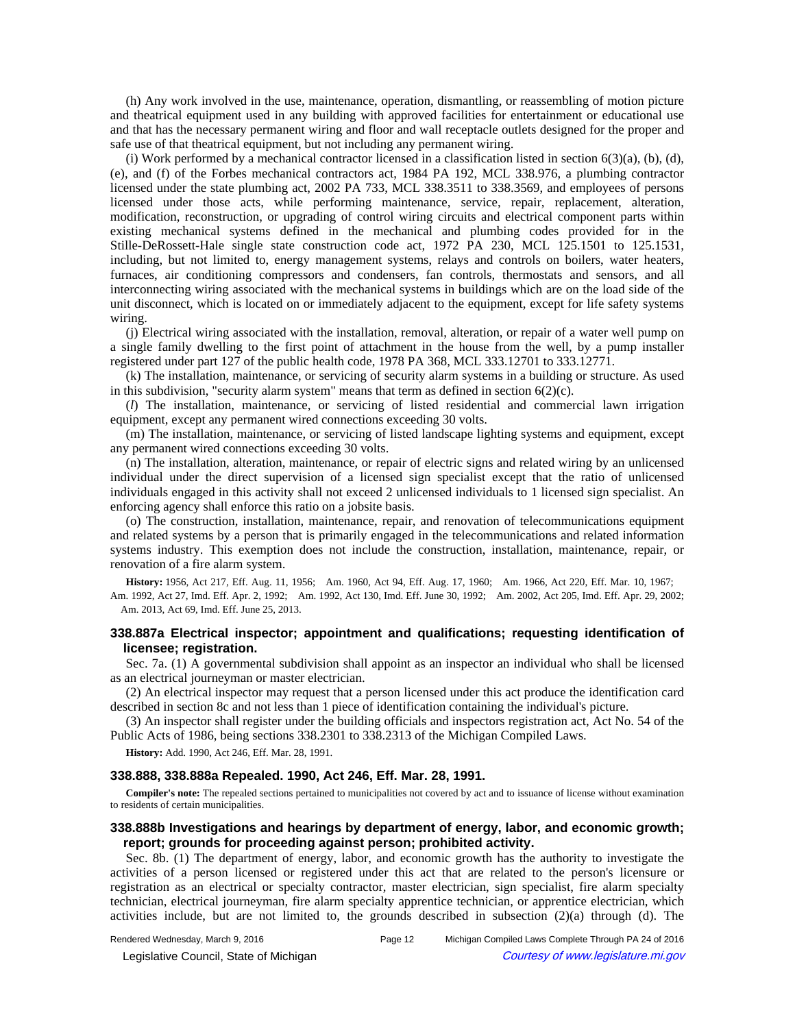(h) Any work involved in the use, maintenance, operation, dismantling, or reassembling of motion picture and theatrical equipment used in any building with approved facilities for entertainment or educational use and that has the necessary permanent wiring and floor and wall receptacle outlets designed for the proper and safe use of that theatrical equipment, but not including any permanent wiring.

(i) Work performed by a mechanical contractor licensed in a classification listed in section 6(3)(a), (b), (d), (e), and (f) of the Forbes mechanical contractors act, 1984 PA 192, MCL 338.976, a plumbing contractor licensed under the state plumbing act, 2002 PA 733, MCL 338.3511 to 338.3569, and employees of persons licensed under those acts, while performing maintenance, service, repair, replacement, alteration, modification, reconstruction, or upgrading of control wiring circuits and electrical component parts within existing mechanical systems defined in the mechanical and plumbing codes provided for in the Stille-DeRossett-Hale single state construction code act, 1972 PA 230, MCL 125.1501 to 125.1531, including, but not limited to, energy management systems, relays and controls on boilers, water heaters, furnaces, air conditioning compressors and condensers, fan controls, thermostats and sensors, and all interconnecting wiring associated with the mechanical systems in buildings which are on the load side of the unit disconnect, which is located on or immediately adjacent to the equipment, except for life safety systems wiring.

(j) Electrical wiring associated with the installation, removal, alteration, or repair of a water well pump on a single family dwelling to the first point of attachment in the house from the well, by a pump installer registered under part 127 of the public health code, 1978 PA 368, MCL 333.12701 to 333.12771.

(k) The installation, maintenance, or servicing of security alarm systems in a building or structure. As used in this subdivision, "security alarm system" means that term as defined in section  $6(2)(c)$ .

(*l*) The installation, maintenance, or servicing of listed residential and commercial lawn irrigation equipment, except any permanent wired connections exceeding 30 volts.

(m) The installation, maintenance, or servicing of listed landscape lighting systems and equipment, except any permanent wired connections exceeding 30 volts.

(n) The installation, alteration, maintenance, or repair of electric signs and related wiring by an unlicensed individual under the direct supervision of a licensed sign specialist except that the ratio of unlicensed individuals engaged in this activity shall not exceed 2 unlicensed individuals to 1 licensed sign specialist. An enforcing agency shall enforce this ratio on a jobsite basis.

(o) The construction, installation, maintenance, repair, and renovation of telecommunications equipment and related systems by a person that is primarily engaged in the telecommunications and related information systems industry. This exemption does not include the construction, installation, maintenance, repair, or renovation of a fire alarm system.

**History:** 1956, Act 217, Eff. Aug. 11, 1956;—Am. 1960, Act 94, Eff. Aug. 17, 1960;—Am. 1966, Act 220, Eff. Mar. 10, 1967;— Am. 1992, Act 27, Imd. Eff. Apr. 2, 1992;—Am. 1992, Act 130, Imd. Eff. June 30, 1992;—Am. 2002, Act 205, Imd. Eff. Apr. 29, 2002; Am. 2013, Act 69, Imd. Eff. June 25, 2013.

# **338.887a Electrical inspector; appointment and qualifications; requesting identification of licensee; registration.**

Sec. 7a. (1) A governmental subdivision shall appoint as an inspector an individual who shall be licensed as an electrical journeyman or master electrician.

(2) An electrical inspector may request that a person licensed under this act produce the identification card described in section 8c and not less than 1 piece of identification containing the individual's picture.

(3) An inspector shall register under the building officials and inspectors registration act, Act No. 54 of the Public Acts of 1986, being sections 338.2301 to 338.2313 of the Michigan Compiled Laws.

**History:** Add. 1990, Act 246, Eff. Mar. 28, 1991.

### **338.888, 338.888a Repealed. 1990, Act 246, Eff. Mar. 28, 1991.**

**Compiler's note:** The repealed sections pertained to municipalities not covered by act and to issuance of license without examination to residents of certain municipalities.

# **338.888b Investigations and hearings by department of energy, labor, and economic growth; report; grounds for proceeding against person; prohibited activity.**

Sec. 8b. (1) The department of energy, labor, and economic growth has the authority to investigate the activities of a person licensed or registered under this act that are related to the person's licensure or registration as an electrical or specialty contractor, master electrician, sign specialist, fire alarm specialty technician, electrical journeyman, fire alarm specialty apprentice technician, or apprentice electrician, which activities include, but are not limited to, the grounds described in subsection (2)(a) through (d). The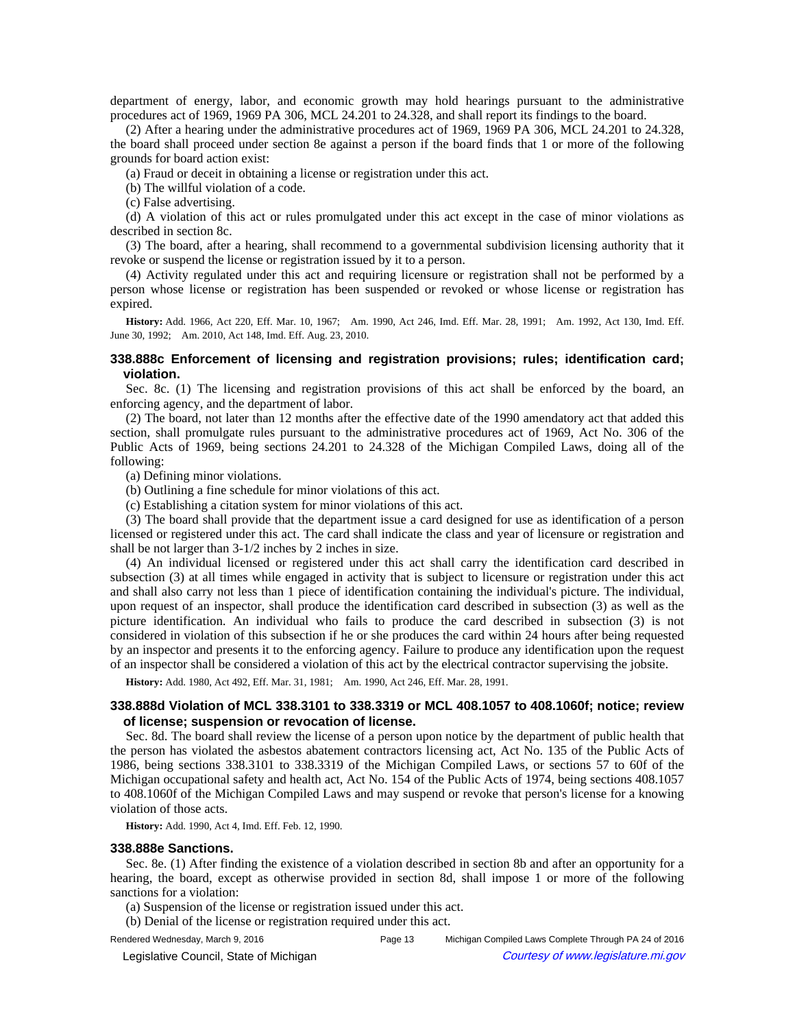department of energy, labor, and economic growth may hold hearings pursuant to the administrative procedures act of 1969, 1969 PA 306, MCL 24.201 to 24.328, and shall report its findings to the board.

(2) After a hearing under the administrative procedures act of 1969, 1969 PA 306, MCL 24.201 to 24.328, the board shall proceed under section 8e against a person if the board finds that 1 or more of the following grounds for board action exist:

(a) Fraud or deceit in obtaining a license or registration under this act.

(b) The willful violation of a code.

(c) False advertising.

(d) A violation of this act or rules promulgated under this act except in the case of minor violations as described in section 8c.

(3) The board, after a hearing, shall recommend to a governmental subdivision licensing authority that it revoke or suspend the license or registration issued by it to a person.

(4) Activity regulated under this act and requiring licensure or registration shall not be performed by a person whose license or registration has been suspended or revoked or whose license or registration has expired.

History: Add. 1966, Act 220, Eff. Mar. 10, 1967;-Am. 1990, Act 246, Imd. Eff. Mar. 28, 1991;-Am. 1992, Act 130, Imd. Eff. June 30, 1992;--- Am. 2010, Act 148, Imd. Eff. Aug. 23, 2010.

## **338.888c Enforcement of licensing and registration provisions; rules; identification card; violation.**

Sec. 8c. (1) The licensing and registration provisions of this act shall be enforced by the board, an enforcing agency, and the department of labor.

(2) The board, not later than 12 months after the effective date of the 1990 amendatory act that added this section, shall promulgate rules pursuant to the administrative procedures act of 1969, Act No. 306 of the Public Acts of 1969, being sections 24.201 to 24.328 of the Michigan Compiled Laws, doing all of the following:

(a) Defining minor violations.

- (b) Outlining a fine schedule for minor violations of this act.
- (c) Establishing a citation system for minor violations of this act.

(3) The board shall provide that the department issue a card designed for use as identification of a person licensed or registered under this act. The card shall indicate the class and year of licensure or registration and shall be not larger than 3-1/2 inches by 2 inches in size.

(4) An individual licensed or registered under this act shall carry the identification card described in subsection (3) at all times while engaged in activity that is subject to licensure or registration under this act and shall also carry not less than 1 piece of identification containing the individual's picture. The individual, upon request of an inspector, shall produce the identification card described in subsection (3) as well as the picture identification. An individual who fails to produce the card described in subsection (3) is not considered in violation of this subsection if he or she produces the card within 24 hours after being requested by an inspector and presents it to the enforcing agency. Failure to produce any identification upon the request of an inspector shall be considered a violation of this act by the electrical contractor supervising the jobsite.

**History:** Add. 1980, Act 492, Eff. Mar. 31, 1981;-Am. 1990, Act 246, Eff. Mar. 28, 1991.

# **338.888d Violation of MCL 338.3101 to 338.3319 or MCL 408.1057 to 408.1060f; notice; review of license; suspension or revocation of license.**

Sec. 8d. The board shall review the license of a person upon notice by the department of public health that the person has violated the asbestos abatement contractors licensing act, Act No. 135 of the Public Acts of 1986, being sections 338.3101 to 338.3319 of the Michigan Compiled Laws, or sections 57 to 60f of the Michigan occupational safety and health act, Act No. 154 of the Public Acts of 1974, being sections 408.1057 to 408.1060f of the Michigan Compiled Laws and may suspend or revoke that person's license for a knowing violation of those acts.

**History:** Add. 1990, Act 4, Imd. Eff. Feb. 12, 1990.

#### **338.888e Sanctions.**

Sec. 8e. (1) After finding the existence of a violation described in section 8b and after an opportunity for a hearing, the board, except as otherwise provided in section 8d, shall impose 1 or more of the following sanctions for a violation:

(a) Suspension of the license or registration issued under this act.

(b) Denial of the license or registration required under this act.

Rendered Wednesday, March 9, 2016 Page 13 Michigan Compiled Laws Complete Through PA 24 of 2016

© Legislative Council, State of Michigan Council Courtesy of www.legislature.mi.gov